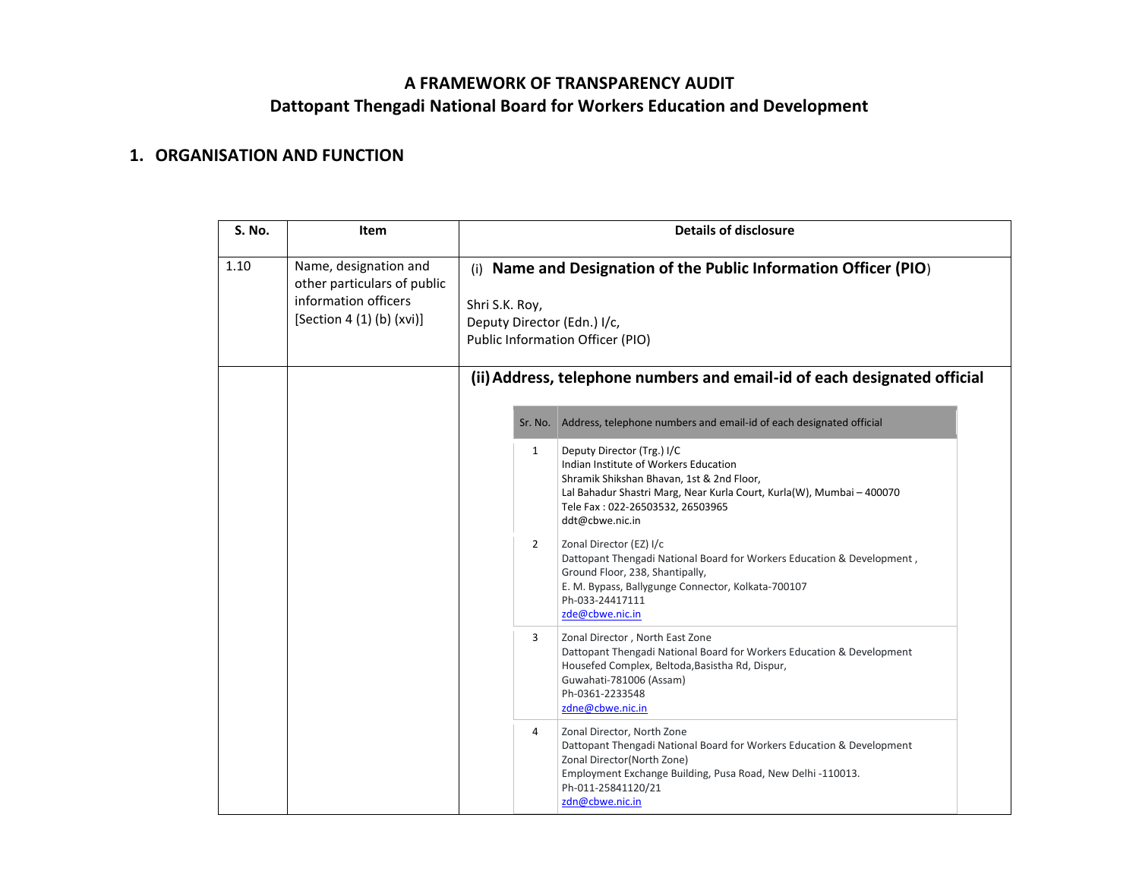## **A FRAMEWORK OF TRANSPARENCY AUDIT Dattopant Thengadi National Board for Workers Education and Development**

## **1. ORGANISATION AND FUNCTION**

| <b>S. No.</b> | Item                                                                                                      | <b>Details of disclosure</b>                                                                                                                                                                                                                                     |  |  |
|---------------|-----------------------------------------------------------------------------------------------------------|------------------------------------------------------------------------------------------------------------------------------------------------------------------------------------------------------------------------------------------------------------------|--|--|
| 1.10          | Name, designation and<br>other particulars of public<br>information officers<br>[Section 4 (1) (b) (xvi)] | (i) Name and Designation of the Public Information Officer (PIO)<br>Shri S.K. Roy,<br>Deputy Director (Edn.) I/c,<br>Public Information Officer (PIO)<br>(ii) Address, telephone numbers and email-id of each designated official                                |  |  |
|               |                                                                                                           | Address, telephone numbers and email-id of each designated official<br>Sr. No.                                                                                                                                                                                   |  |  |
|               |                                                                                                           | Deputy Director (Trg.) I/C<br>$\mathbf{1}$<br>Indian Institute of Workers Education<br>Shramik Shikshan Bhavan, 1st & 2nd Floor,<br>Lal Bahadur Shastri Marg, Near Kurla Court, Kurla(W), Mumbai - 400070<br>Tele Fax: 022-26503532, 26503965<br>ddt@cbwe.nic.in |  |  |
|               |                                                                                                           | $\overline{2}$<br>Zonal Director (EZ) I/c<br>Dattopant Thengadi National Board for Workers Education & Development,<br>Ground Floor, 238, Shantipally,<br>E. M. Bypass, Ballygunge Connector, Kolkata-700107<br>Ph-033-24417111<br>zde@cbwe.nic.in               |  |  |
|               |                                                                                                           | 3<br>Zonal Director, North East Zone<br>Dattopant Thengadi National Board for Workers Education & Development<br>Housefed Complex, Beltoda, Basistha Rd, Dispur,<br>Guwahati-781006 (Assam)<br>Ph-0361-2233548<br>zdne@cbwe.nic.in                               |  |  |
|               |                                                                                                           | Zonal Director, North Zone<br>4<br>Dattopant Thengadi National Board for Workers Education & Development<br>Zonal Director(North Zone)<br>Employment Exchange Building, Pusa Road, New Delhi -110013.<br>Ph-011-25841120/21<br>zdn@cbwe.nic.in                   |  |  |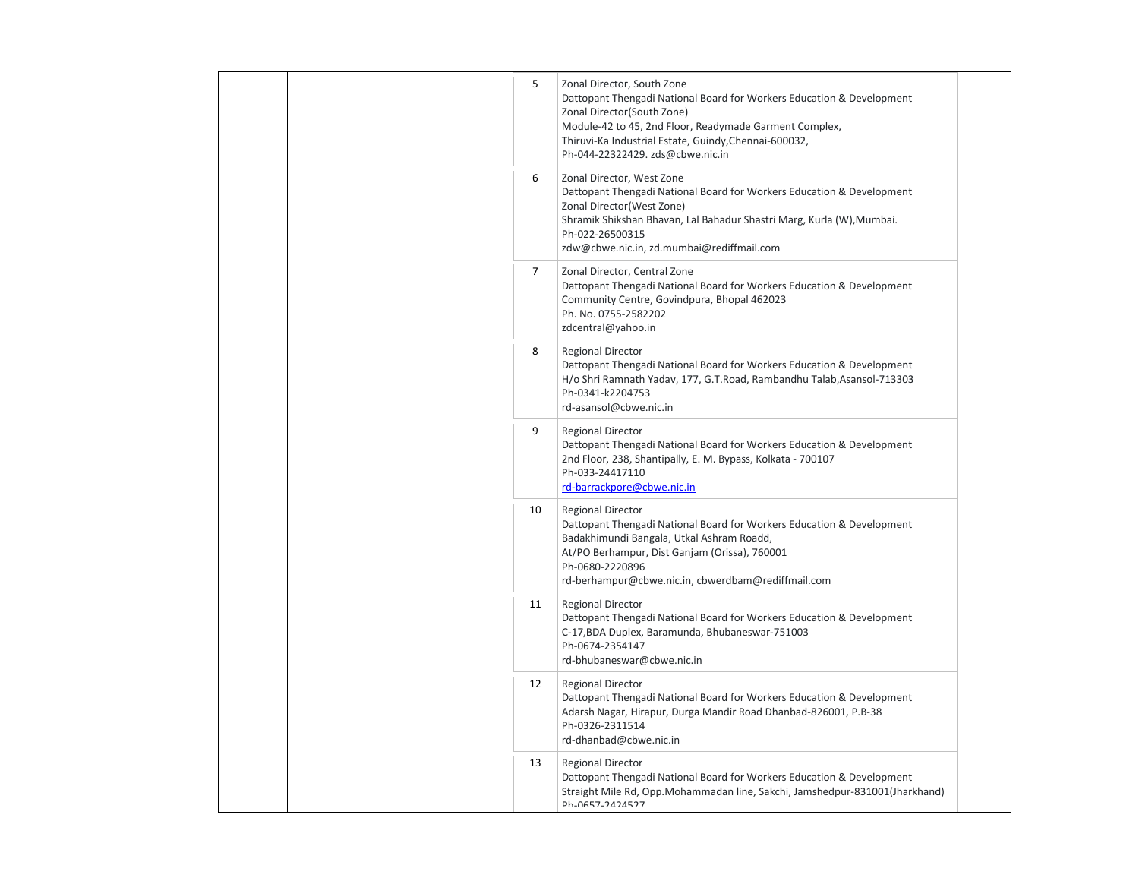| 5              | Zonal Director, South Zone<br>Dattopant Thengadi National Board for Workers Education & Development<br>Zonal Director(South Zone)<br>Module-42 to 45, 2nd Floor, Readymade Garment Complex,<br>Thiruvi-Ka Industrial Estate, Guindy, Chennai-600032,<br>Ph-044-22322429. zds@cbwe.nic.in |
|----------------|------------------------------------------------------------------------------------------------------------------------------------------------------------------------------------------------------------------------------------------------------------------------------------------|
| 6              | Zonal Director, West Zone<br>Dattopant Thengadi National Board for Workers Education & Development<br>Zonal Director (West Zone)<br>Shramik Shikshan Bhavan, Lal Bahadur Shastri Marg, Kurla (W), Mumbai.<br>Ph-022-26500315<br>zdw@cbwe.nic.in, zd.mumbai@rediffmail.com                |
| $\overline{7}$ | Zonal Director, Central Zone<br>Dattopant Thengadi National Board for Workers Education & Development<br>Community Centre, Govindpura, Bhopal 462023<br>Ph. No. 0755-2582202<br>zdcentral@yahoo.in                                                                                       |
| 8              | <b>Regional Director</b><br>Dattopant Thengadi National Board for Workers Education & Development<br>H/o Shri Ramnath Yadav, 177, G.T.Road, Rambandhu Talab,Asansol-713303<br>Ph-0341-k2204753<br>rd-asansol@cbwe.nic.in                                                                 |
| 9              | <b>Regional Director</b><br>Dattopant Thengadi National Board for Workers Education & Development<br>2nd Floor, 238, Shantipally, E. M. Bypass, Kolkata - 700107<br>Ph-033-24417110<br>rd-barrackpore@cbwe.nic.in                                                                        |
| 10             | <b>Regional Director</b><br>Dattopant Thengadi National Board for Workers Education & Development<br>Badakhimundi Bangala, Utkal Ashram Roadd,<br>At/PO Berhampur, Dist Ganjam (Orissa), 760001<br>Ph-0680-2220896<br>rd-berhampur@cbwe.nic.in, cbwerdbam@rediffmail.com                 |
| 11             | <b>Regional Director</b><br>Dattopant Thengadi National Board for Workers Education & Development<br>C-17, BDA Duplex, Baramunda, Bhubaneswar-751003<br>Ph-0674-2354147<br>rd-bhubaneswar@cbwe.nic.in                                                                                    |
| 12             | <b>Regional Director</b><br>Dattopant Thengadi National Board for Workers Education & Development<br>Adarsh Nagar, Hirapur, Durga Mandir Road Dhanbad-826001, P.B-38<br>Ph-0326-2311514<br>rd-dhanbad@cbwe.nic.in                                                                        |
| 13             | <b>Regional Director</b><br>Dattopant Thengadi National Board for Workers Education & Development<br>Straight Mile Rd, Opp. Mohammadan line, Sakchi, Jamshedpur-831001(Jharkhand)<br>Ph-0657-2424527                                                                                     |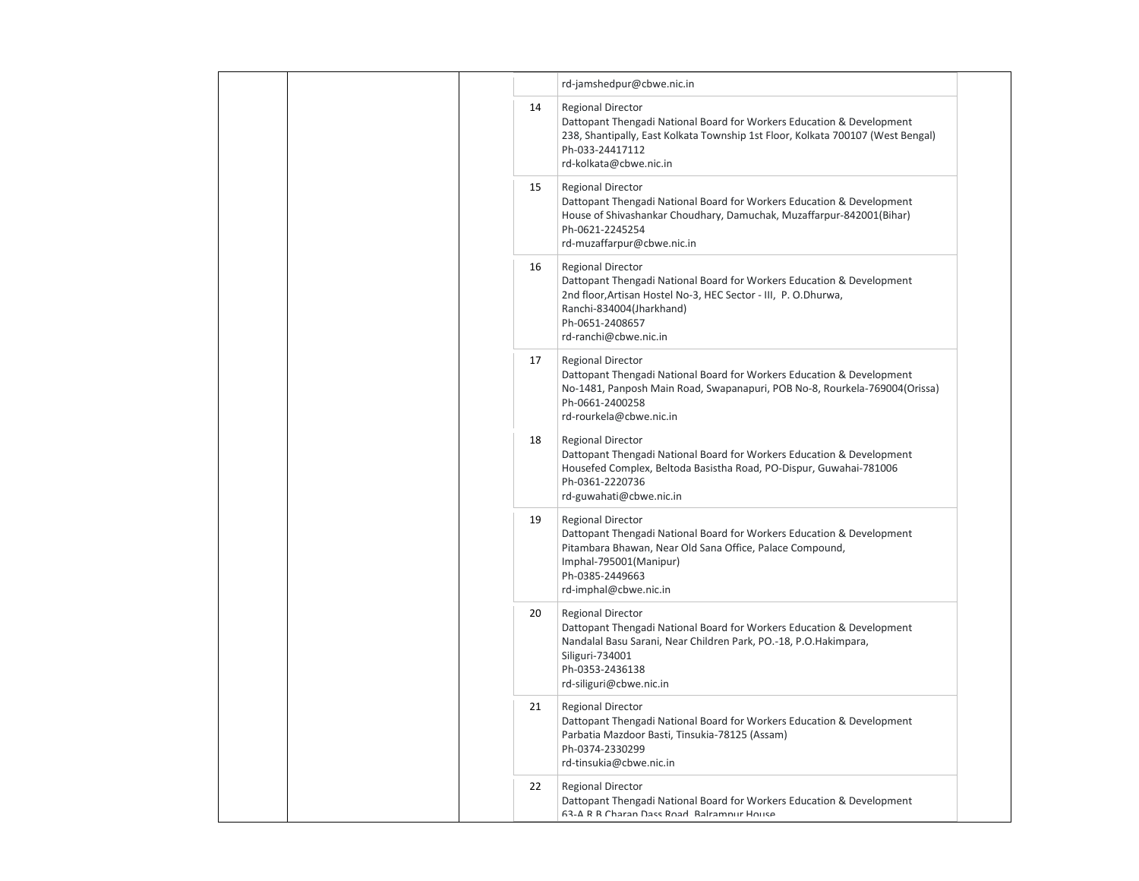|  |    | rd-jamshedpur@cbwe.nic.in                                                                                                                                                                                                                   |  |
|--|----|---------------------------------------------------------------------------------------------------------------------------------------------------------------------------------------------------------------------------------------------|--|
|  | 14 | <b>Regional Director</b><br>Dattopant Thengadi National Board for Workers Education & Development<br>238, Shantipally, East Kolkata Township 1st Floor, Kolkata 700107 (West Bengal)<br>Ph-033-24417112<br>rd-kolkata@cbwe.nic.in           |  |
|  | 15 | <b>Regional Director</b><br>Dattopant Thengadi National Board for Workers Education & Development<br>House of Shivashankar Choudhary, Damuchak, Muzaffarpur-842001(Bihar)<br>Ph-0621-2245254<br>rd-muzaffarpur@cbwe.nic.in                  |  |
|  | 16 | <b>Regional Director</b><br>Dattopant Thengadi National Board for Workers Education & Development<br>2nd floor, Artisan Hostel No-3, HEC Sector - III, P. O.Dhurwa,<br>Ranchi-834004(Jharkhand)<br>Ph-0651-2408657<br>rd-ranchi@cbwe.nic.in |  |
|  | 17 | <b>Regional Director</b><br>Dattopant Thengadi National Board for Workers Education & Development<br>No-1481, Panposh Main Road, Swapanapuri, POB No-8, Rourkela-769004(Orissa)<br>Ph-0661-2400258<br>rd-rourkela@cbwe.nic.in               |  |
|  | 18 | <b>Regional Director</b><br>Dattopant Thengadi National Board for Workers Education & Development<br>Housefed Complex, Beltoda Basistha Road, PO-Dispur, Guwahai-781006<br>Ph-0361-2220736<br>rd-guwahati@cbwe.nic.in                       |  |
|  | 19 | <b>Regional Director</b><br>Dattopant Thengadi National Board for Workers Education & Development<br>Pitambara Bhawan, Near Old Sana Office, Palace Compound,<br>Imphal-795001(Manipur)<br>Ph-0385-2449663<br>rd-imphal@cbwe.nic.in         |  |
|  | 20 | <b>Regional Director</b><br>Dattopant Thengadi National Board for Workers Education & Development<br>Nandalal Basu Sarani, Near Children Park, PO.-18, P.O.Hakimpara,<br>Siliguri-734001<br>Ph-0353-2436138<br>rd-siliguri@cbwe.nic.in      |  |
|  | 21 | <b>Regional Director</b><br>Dattopant Thengadi National Board for Workers Education & Development<br>Parbatia Mazdoor Basti, Tinsukia-78125 (Assam)<br>Ph-0374-2330299<br>rd-tinsukia@cbwe.nic.in                                           |  |
|  | 22 | <b>Regional Director</b><br>Dattopant Thengadi National Board for Workers Education & Development<br>63-A R R Charan Dass Road Balramnur House                                                                                              |  |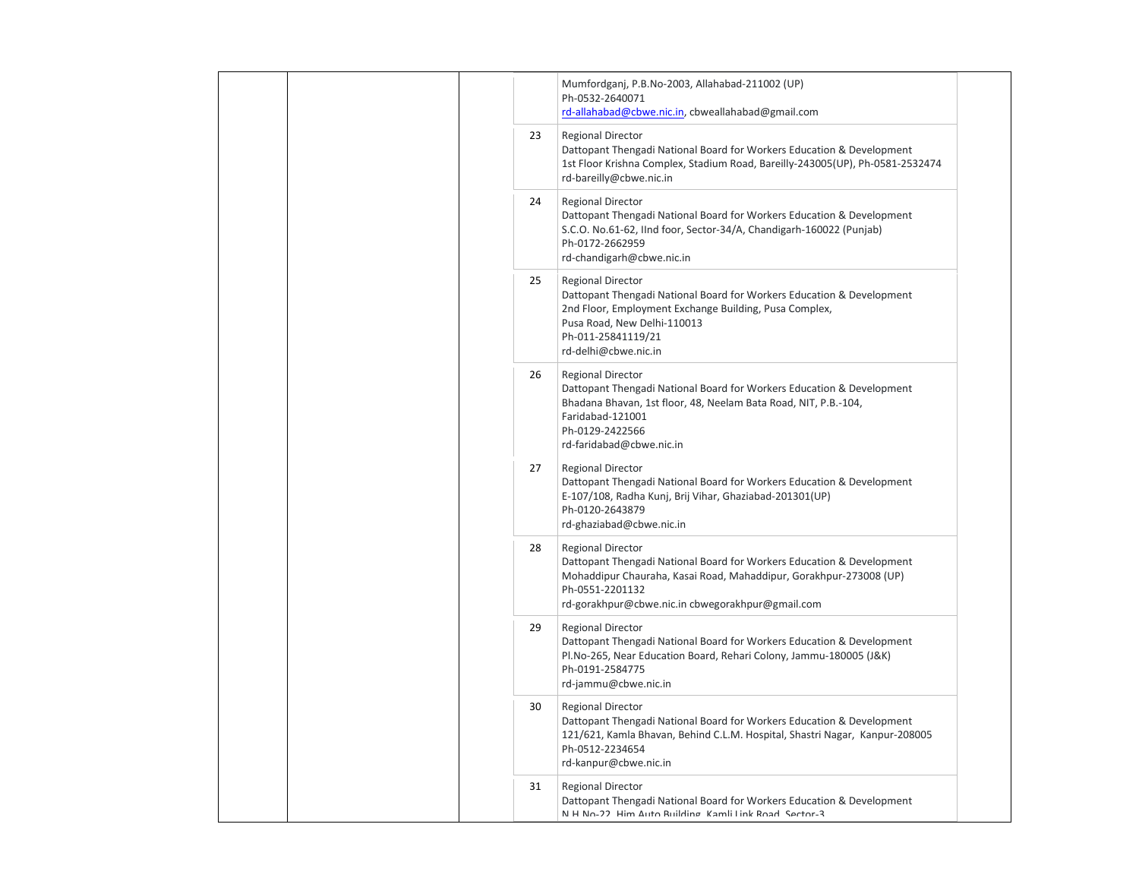|    | Mumfordganj, P.B.No-2003, Allahabad-211002 (UP)<br>Ph-0532-2640071<br>rd-allahabad@cbwe.nic.in, cbweallahabad@gmail.com                                                                                                                        |  |
|----|------------------------------------------------------------------------------------------------------------------------------------------------------------------------------------------------------------------------------------------------|--|
| 23 | <b>Regional Director</b><br>Dattopant Thengadi National Board for Workers Education & Development<br>1st Floor Krishna Complex, Stadium Road, Bareilly-243005(UP), Ph-0581-2532474<br>rd-bareilly@cbwe.nic.in                                  |  |
| 24 | Regional Director<br>Dattopant Thengadi National Board for Workers Education & Development<br>S.C.O. No.61-62, IInd foor, Sector-34/A, Chandigarh-160022 (Punjab)<br>Ph-0172-2662959<br>rd-chandigarh@cbwe.nic.in                              |  |
| 25 | <b>Regional Director</b><br>Dattopant Thengadi National Board for Workers Education & Development<br>2nd Floor, Employment Exchange Building, Pusa Complex,<br>Pusa Road, New Delhi-110013<br>Ph-011-25841119/21<br>rd-delhi@cbwe.nic.in       |  |
| 26 | <b>Regional Director</b><br>Dattopant Thengadi National Board for Workers Education & Development<br>Bhadana Bhavan, 1st floor, 48, Neelam Bata Road, NIT, P.B.-104,<br>Faridabad-121001<br>Ph-0129-2422566<br>rd-faridabad@cbwe.nic.in        |  |
| 27 | <b>Regional Director</b><br>Dattopant Thengadi National Board for Workers Education & Development<br>E-107/108, Radha Kunj, Brij Vihar, Ghaziabad-201301(UP)<br>Ph-0120-2643879<br>rd-ghaziabad@cbwe.nic.in                                    |  |
| 28 | <b>Regional Director</b><br>Dattopant Thengadi National Board for Workers Education & Development<br>Mohaddipur Chauraha, Kasai Road, Mahaddipur, Gorakhpur-273008 (UP)<br>Ph-0551-2201132<br>rd-gorakhpur@cbwe.nic.in cbwegorakhpur@gmail.com |  |
| 29 | <b>Regional Director</b><br>Dattopant Thengadi National Board for Workers Education & Development<br>Pl.No-265, Near Education Board, Rehari Colony, Jammu-180005 (J&K)<br>Ph-0191-2584775<br>rd-jammu@cbwe.nic.in                             |  |
| 30 | <b>Regional Director</b><br>Dattopant Thengadi National Board for Workers Education & Development<br>121/621, Kamla Bhavan, Behind C.L.M. Hospital, Shastri Nagar, Kanpur-208005<br>Ph-0512-2234654<br>rd-kanpur@cbwe.nic.in                   |  |
| 31 | <b>Regional Director</b><br>Dattopant Thengadi National Board for Workers Education & Development<br>N H No-22 Him Auto Ruilding Kamli Link Road Sector-3                                                                                      |  |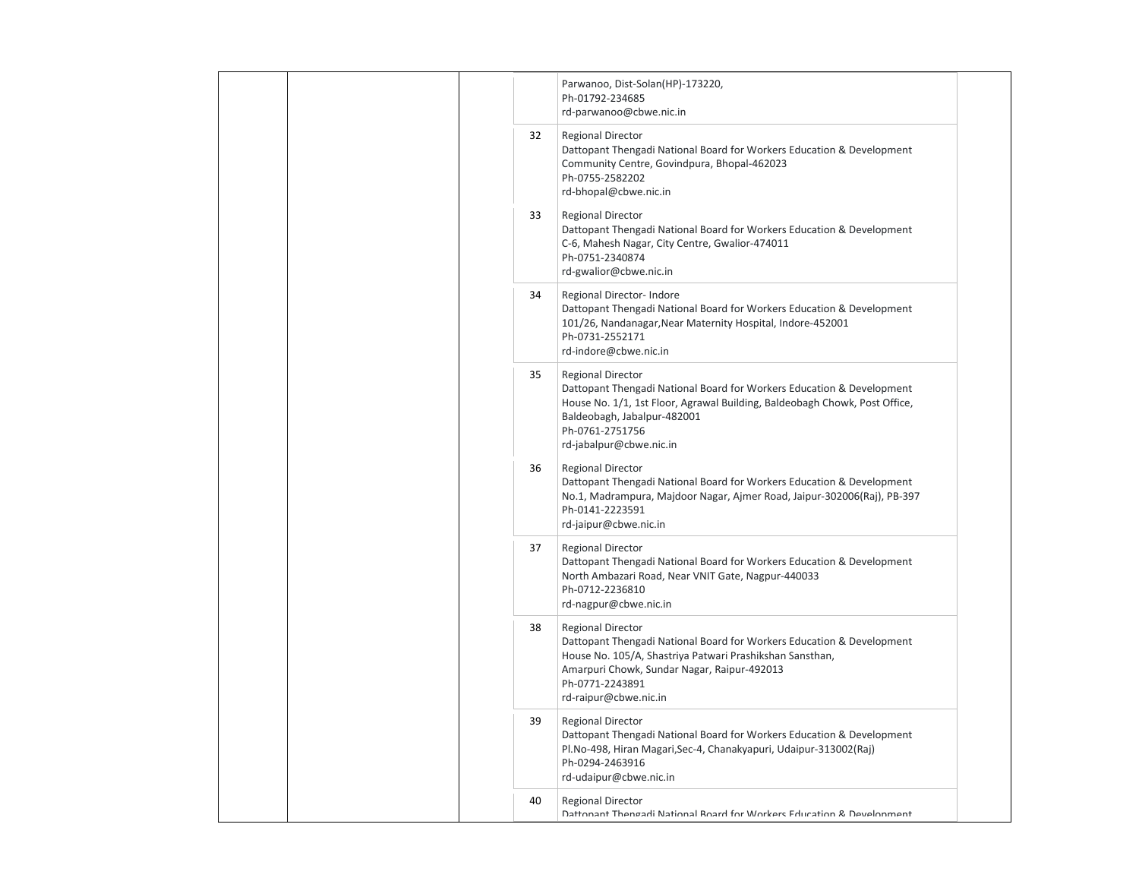|    | Parwanoo, Dist-Solan(HP)-173220,<br>Ph-01792-234685<br>rd-parwanoo@cbwe.nic.in                                                                                                                                                                               |  |
|----|--------------------------------------------------------------------------------------------------------------------------------------------------------------------------------------------------------------------------------------------------------------|--|
| 32 | <b>Regional Director</b><br>Dattopant Thengadi National Board for Workers Education & Development<br>Community Centre, Govindpura, Bhopal-462023<br>Ph-0755-2582202<br>rd-bhopal@cbwe.nic.in                                                                 |  |
| 33 | <b>Regional Director</b><br>Dattopant Thengadi National Board for Workers Education & Development<br>C-6, Mahesh Nagar, City Centre, Gwalior-474011<br>Ph-0751-2340874<br>rd-gwalior@cbwe.nic.in                                                             |  |
| 34 | Regional Director- Indore<br>Dattopant Thengadi National Board for Workers Education & Development<br>101/26, Nandanagar, Near Maternity Hospital, Indore-452001<br>Ph-0731-2552171<br>rd-indore@cbwe.nic.in                                                 |  |
| 35 | <b>Regional Director</b><br>Dattopant Thengadi National Board for Workers Education & Development<br>House No. 1/1, 1st Floor, Agrawal Building, Baldeobagh Chowk, Post Office,<br>Baldeobagh, Jabalpur-482001<br>Ph-0761-2751756<br>rd-jabalpur@cbwe.nic.in |  |
| 36 | <b>Regional Director</b><br>Dattopant Thengadi National Board for Workers Education & Development<br>No.1, Madrampura, Majdoor Nagar, Ajmer Road, Jaipur-302006(Raj), PB-397<br>Ph-0141-2223591<br>rd-jaipur@cbwe.nic.in                                     |  |
| 37 | <b>Regional Director</b><br>Dattopant Thengadi National Board for Workers Education & Development<br>North Ambazari Road, Near VNIT Gate, Nagpur-440033<br>Ph-0712-2236810<br>rd-nagpur@cbwe.nic.in                                                          |  |
| 38 | <b>Regional Director</b><br>Dattopant Thengadi National Board for Workers Education & Development<br>House No. 105/A, Shastriya Patwari Prashikshan Sansthan,<br>Amarpuri Chowk, Sundar Nagar, Raipur-492013<br>Ph-0771-2243891<br>rd-raipur@cbwe.nic.in     |  |
| 39 | <b>Regional Director</b><br>Dattopant Thengadi National Board for Workers Education & Development<br>Pl.No-498, Hiran Magari, Sec-4, Chanakyapuri, Udaipur-313002(Raj)<br>Ph-0294-2463916<br>rd-udaipur@cbwe.nic.in                                          |  |
| 40 | <b>Regional Director</b><br>Dattonant Thengadi National Board for Workers Education & Develonment                                                                                                                                                            |  |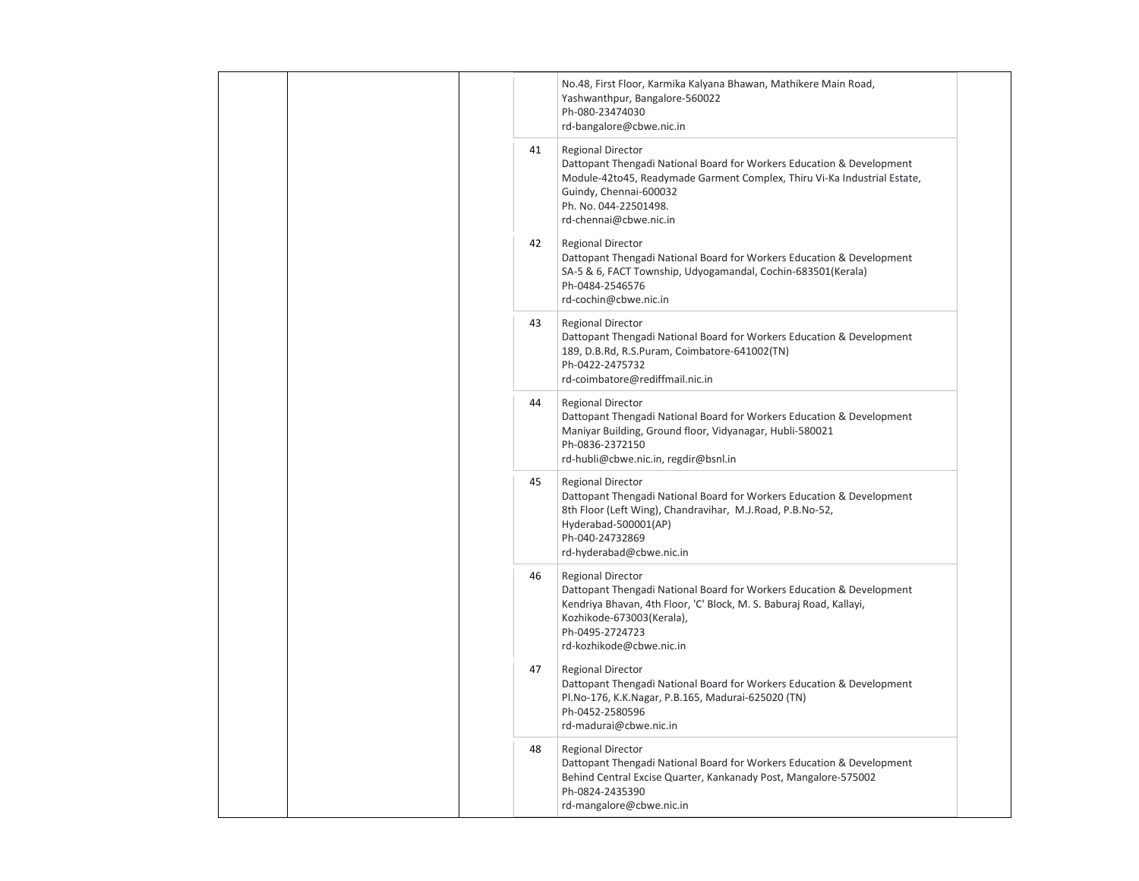|  | No.48, First Floor, Karmika Kalyana Bhawan, Mathikere Main Road,<br>Yashwanthpur, Bangalore-560022<br>Ph-080-23474030<br>rd-bangalore@cbwe.nic.in                                                                                                                |
|--|------------------------------------------------------------------------------------------------------------------------------------------------------------------------------------------------------------------------------------------------------------------|
|  | 41<br><b>Regional Director</b><br>Dattopant Thengadi National Board for Workers Education & Development<br>Module-42to45, Readymade Garment Complex, Thiru Vi-Ka Industrial Estate,<br>Guindy, Chennai-600032<br>Ph. No. 044-22501498.<br>rd-chennai@cbwe.nic.in |
|  | 42<br><b>Regional Director</b><br>Dattopant Thengadi National Board for Workers Education & Development<br>SA-5 & 6, FACT Township, Udyogamandal, Cochin-683501(Kerala)<br>Ph-0484-2546576<br>rd-cochin@cbwe.nic.in                                              |
|  | 43<br><b>Regional Director</b><br>Dattopant Thengadi National Board for Workers Education & Development<br>189, D.B.Rd, R.S.Puram, Coimbatore-641002(TN)<br>Ph-0422-2475732<br>rd-coimbatore@rediffmail.nic.in                                                   |
|  | 44<br><b>Regional Director</b><br>Dattopant Thengadi National Board for Workers Education & Development<br>Maniyar Building, Ground floor, Vidyanagar, Hubli-580021<br>Ph-0836-2372150<br>rd-hubli@cbwe.nic.in, regdir@bsnl.in                                   |
|  | 45<br><b>Regional Director</b><br>Dattopant Thengadi National Board for Workers Education & Development<br>8th Floor (Left Wing), Chandravihar, M.J.Road, P.B.No-52,<br>Hyderabad-500001(AP)<br>Ph-040-24732869<br>rd-hyderabad@cbwe.nic.in                      |
|  | 46<br><b>Regional Director</b><br>Dattopant Thengadi National Board for Workers Education & Development<br>Kendriya Bhavan, 4th Floor, 'C' Block, M. S. Baburaj Road, Kallayi,<br>Kozhikode-673003(Kerala),<br>Ph-0495-2724723<br>rd-kozhikode@cbwe.nic.in       |
|  | 47<br><b>Regional Director</b><br>Dattopant Thengadi National Board for Workers Education & Development<br>Pl.No-176, K.K.Nagar, P.B.165, Madurai-625020 (TN)<br>Ph-0452-2580596<br>rd-madurai@cbwe.nic.in                                                       |
|  | 48<br><b>Regional Director</b><br>Dattopant Thengadi National Board for Workers Education & Development<br>Behind Central Excise Quarter, Kankanady Post, Mangalore-575002<br>Ph-0824-2435390<br>rd-mangalore@cbwe.nic.in                                        |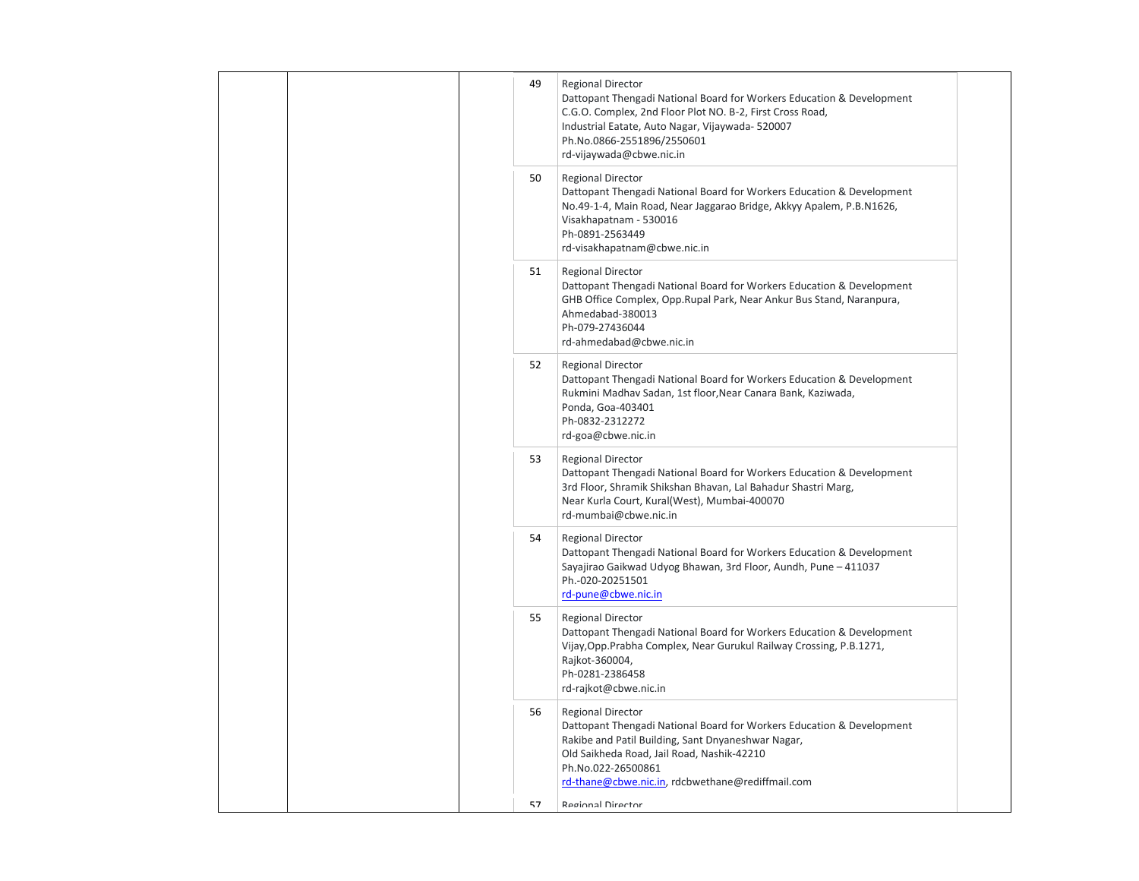| 50<br><b>Regional Director</b><br>Dattopant Thengadi National Board for Workers Education & Development<br>No.49-1-4, Main Road, Near Jaggarao Bridge, Akkyy Apalem, P.B.N1626,<br>Visakhapatnam - 530016<br>Ph-0891-2563449<br>rd-visakhapatnam@cbwe.nic.in<br>51<br><b>Regional Director</b><br>Dattopant Thengadi National Board for Workers Education & Development<br>GHB Office Complex, Opp.Rupal Park, Near Ankur Bus Stand, Naranpura,<br>Ahmedabad-380013<br>Ph-079-27436044<br>rd-ahmedabad@cbwe.nic.in<br>52<br><b>Regional Director</b><br>Dattopant Thengadi National Board for Workers Education & Development<br>Rukmini Madhav Sadan, 1st floor, Near Canara Bank, Kaziwada,<br>Ponda, Goa-403401<br>Ph-0832-2312272<br>rd-goa@cbwe.nic.in<br>53<br><b>Regional Director</b><br>Dattopant Thengadi National Board for Workers Education & Development<br>3rd Floor, Shramik Shikshan Bhavan, Lal Bahadur Shastri Marg,<br>Near Kurla Court, Kural(West), Mumbai-400070<br>rd-mumbai@cbwe.nic.in<br>54<br><b>Regional Director</b><br>Dattopant Thengadi National Board for Workers Education & Development<br>Sayajirao Gaikwad Udyog Bhawan, 3rd Floor, Aundh, Pune - 411037<br>Ph.-020-20251501<br>rd-pune@cbwe.nic.in<br>55<br><b>Regional Director</b><br>Dattopant Thengadi National Board for Workers Education & Development<br>Vijay, Opp. Prabha Complex, Near Gurukul Railway Crossing, P.B.1271,<br>Rajkot-360004,<br>Ph-0281-2386458<br>rd-rajkot@cbwe.nic.in<br>56<br><b>Regional Director</b><br>Dattopant Thengadi National Board for Workers Education & Development<br>Rakibe and Patil Building, Sant Dnyaneshwar Nagar,<br>Old Saikheda Road, Jail Road, Nashik-42210<br>Ph.No.022-26500861<br>rd-thane@cbwe.nic.in, rdcbwethane@rediffmail.com<br>57<br><b>Regional Director</b> |  | 49 | <b>Regional Director</b><br>Dattopant Thengadi National Board for Workers Education & Development<br>C.G.O. Complex, 2nd Floor Plot NO. B-2, First Cross Road,<br>Industrial Eatate, Auto Nagar, Vijaywada- 520007<br>Ph.No.0866-2551896/2550601<br>rd-vijaywada@cbwe.nic.in |  |
|-----------------------------------------------------------------------------------------------------------------------------------------------------------------------------------------------------------------------------------------------------------------------------------------------------------------------------------------------------------------------------------------------------------------------------------------------------------------------------------------------------------------------------------------------------------------------------------------------------------------------------------------------------------------------------------------------------------------------------------------------------------------------------------------------------------------------------------------------------------------------------------------------------------------------------------------------------------------------------------------------------------------------------------------------------------------------------------------------------------------------------------------------------------------------------------------------------------------------------------------------------------------------------------------------------------------------------------------------------------------------------------------------------------------------------------------------------------------------------------------------------------------------------------------------------------------------------------------------------------------------------------------------------------------------------------------------------------------------------------------------------------------------------------------------------------------------|--|----|------------------------------------------------------------------------------------------------------------------------------------------------------------------------------------------------------------------------------------------------------------------------------|--|
|                                                                                                                                                                                                                                                                                                                                                                                                                                                                                                                                                                                                                                                                                                                                                                                                                                                                                                                                                                                                                                                                                                                                                                                                                                                                                                                                                                                                                                                                                                                                                                                                                                                                                                                                                                                                                       |  |    |                                                                                                                                                                                                                                                                              |  |
|                                                                                                                                                                                                                                                                                                                                                                                                                                                                                                                                                                                                                                                                                                                                                                                                                                                                                                                                                                                                                                                                                                                                                                                                                                                                                                                                                                                                                                                                                                                                                                                                                                                                                                                                                                                                                       |  |    |                                                                                                                                                                                                                                                                              |  |
|                                                                                                                                                                                                                                                                                                                                                                                                                                                                                                                                                                                                                                                                                                                                                                                                                                                                                                                                                                                                                                                                                                                                                                                                                                                                                                                                                                                                                                                                                                                                                                                                                                                                                                                                                                                                                       |  |    |                                                                                                                                                                                                                                                                              |  |
|                                                                                                                                                                                                                                                                                                                                                                                                                                                                                                                                                                                                                                                                                                                                                                                                                                                                                                                                                                                                                                                                                                                                                                                                                                                                                                                                                                                                                                                                                                                                                                                                                                                                                                                                                                                                                       |  |    |                                                                                                                                                                                                                                                                              |  |
|                                                                                                                                                                                                                                                                                                                                                                                                                                                                                                                                                                                                                                                                                                                                                                                                                                                                                                                                                                                                                                                                                                                                                                                                                                                                                                                                                                                                                                                                                                                                                                                                                                                                                                                                                                                                                       |  |    |                                                                                                                                                                                                                                                                              |  |
|                                                                                                                                                                                                                                                                                                                                                                                                                                                                                                                                                                                                                                                                                                                                                                                                                                                                                                                                                                                                                                                                                                                                                                                                                                                                                                                                                                                                                                                                                                                                                                                                                                                                                                                                                                                                                       |  |    |                                                                                                                                                                                                                                                                              |  |
|                                                                                                                                                                                                                                                                                                                                                                                                                                                                                                                                                                                                                                                                                                                                                                                                                                                                                                                                                                                                                                                                                                                                                                                                                                                                                                                                                                                                                                                                                                                                                                                                                                                                                                                                                                                                                       |  |    |                                                                                                                                                                                                                                                                              |  |
|                                                                                                                                                                                                                                                                                                                                                                                                                                                                                                                                                                                                                                                                                                                                                                                                                                                                                                                                                                                                                                                                                                                                                                                                                                                                                                                                                                                                                                                                                                                                                                                                                                                                                                                                                                                                                       |  |    |                                                                                                                                                                                                                                                                              |  |